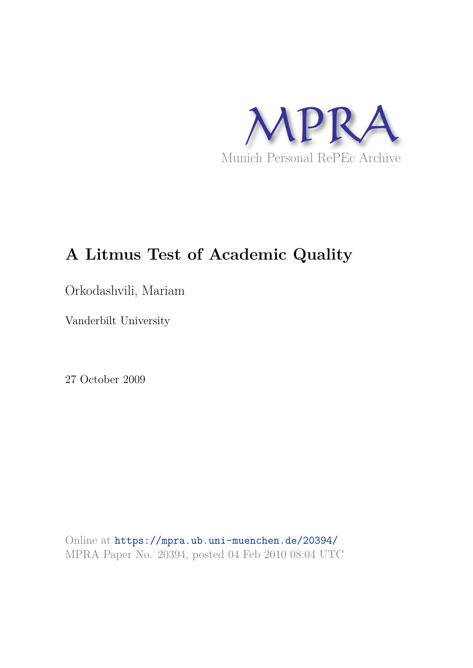

# **A Litmus Test of Academic Quality**

Orkodashvili, Mariam

Vanderbilt University

27 October 2009

Online at https://mpra.ub.uni-muenchen.de/20394/ MPRA Paper No. 20394, posted 04 Feb 2010 08:04 UTC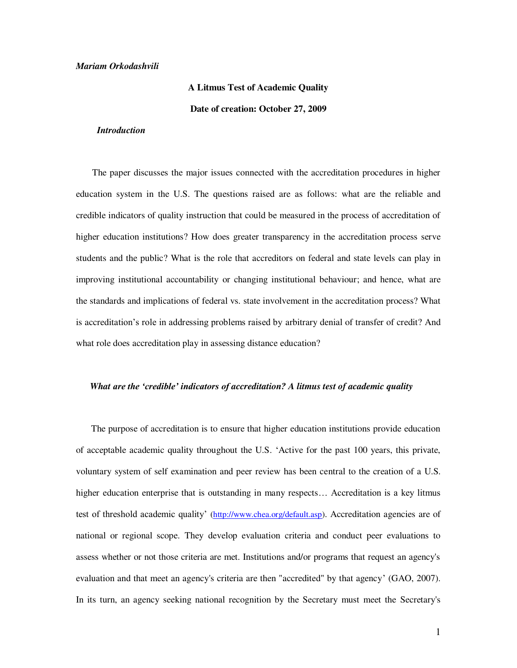#### *Mariam Orkodashvili*

# **A Litmus Test of Academic Quality**

**Date of creation: October 27, 2009** 

# *Introduction*

 The paper discusses the major issues connected with the accreditation procedures in higher education system in the U.S. The questions raised are as follows: what are the reliable and credible indicators of quality instruction that could be measured in the process of accreditation of higher education institutions? How does greater transparency in the accreditation process serve students and the public? What is the role that accreditors on federal and state levels can play in improving institutional accountability or changing institutional behaviour; and hence, what are the standards and implications of federal vs. state involvement in the accreditation process? What is accreditation's role in addressing problems raised by arbitrary denial of transfer of credit? And what role does accreditation play in assessing distance education?

#### *What are the 'credible' indicators of accreditation? A litmus test of academic quality*

 The purpose of accreditation is to ensure that higher education institutions provide education of acceptable academic quality throughout the U.S. "Active for the past 100 years, this private, voluntary system of self examination and peer review has been central to the creation of a U.S. higher education enterprise that is outstanding in many respects... Accreditation is a key litmus test of threshold academic quality" [\(http://www.chea.org/default.asp\)](http://www.chea.org/default.asp). Accreditation agencies are of national or regional scope. They develop evaluation criteria and conduct peer evaluations to assess whether or not those criteria are met. Institutions and/or programs that request an agency's evaluation and that meet an agency's criteria are then "accredited" by that agency' (GAO, 2007). In its turn, an agency seeking national recognition by the Secretary must meet the [Secretary's](http://www.ed.gov/admins/finaid/accred/accreditation_pg14.html)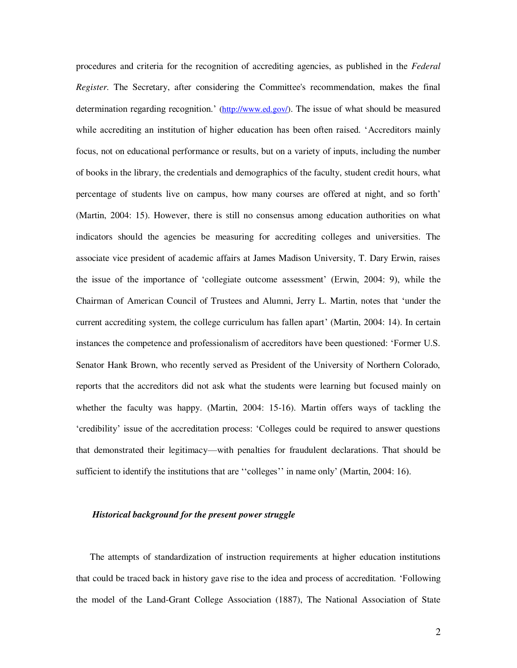procedures and criteria for the recognition of accrediting agencies, as published in the *Federal Register.* The Secretary, after considering the Committee's recommendation, makes the final determination regarding recognition." [\(http://www.ed.gov/\)](http://www.ed.gov/). The issue of what should be measured while accrediting an institution of higher education has been often raised. "Accreditors mainly focus, not on educational performance or results, but on a variety of inputs, including the number of books in the library, the credentials and demographics of the faculty, student credit hours, what percentage of students live on campus, how many courses are offered at night, and so forth" (Martin, 2004: 15). However, there is still no consensus among education authorities on what indicators should the agencies be measuring for accrediting colleges and universities. The associate vice president of academic affairs at James Madison University, T. Dary Erwin, raises the issue of the importance of "collegiate outcome assessment" (Erwin, 2004: 9), while the Chairman of American Council of Trustees and Alumni, Jerry L. Martin, notes that "under the current accrediting system, the college curriculum has fallen apart" (Martin, 2004: 14). In certain instances the competence and professionalism of accreditors have been questioned: "Former U.S. Senator Hank Brown, who recently served as President of the University of Northern Colorado, reports that the accreditors did not ask what the students were learning but focused mainly on whether the faculty was happy. (Martin, 2004: 15-16). Martin offers ways of tackling the "credibility" issue of the accreditation process: "Colleges could be required to answer questions that demonstrated their legitimacy—with penalties for fraudulent declarations. That should be sufficient to identify the institutions that are "colleges" in name only (Martin, 2004: 16).

#### *Historical background for the present power struggle*

 The attempts of standardization of instruction requirements at higher education institutions that could be traced back in history gave rise to the idea and process of accreditation. "Following the model of the Land-Grant College Association (1887), The National Association of State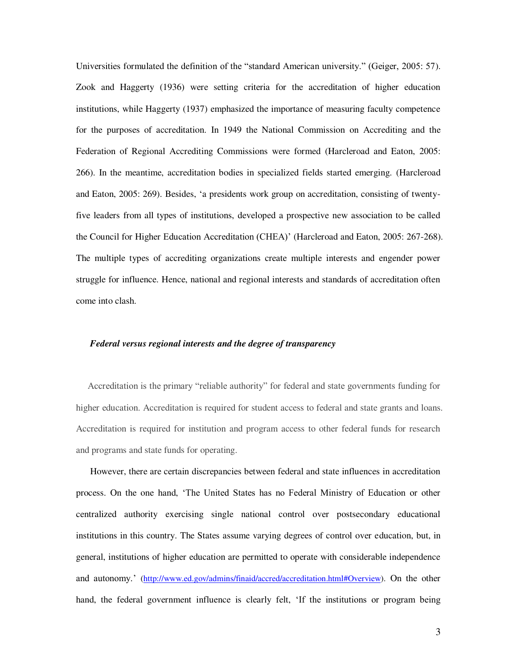Universities formulated the definition of the "standard American university." (Geiger, 2005: 57). Zook and Haggerty (1936) were setting criteria for the accreditation of higher education institutions, while Haggerty (1937) emphasized the importance of measuring faculty competence for the purposes of accreditation. In 1949 the National Commission on Accrediting and the Federation of Regional Accrediting Commissions were formed (Harcleroad and Eaton, 2005: 266). In the meantime, accreditation bodies in specialized fields started emerging. (Harcleroad and Eaton, 2005: 269). Besides, "a presidents work group on accreditation, consisting of twentyfive leaders from all types of institutions, developed a prospective new association to be called the Council for Higher Education Accreditation (CHEA)" (Harcleroad and Eaton, 2005: 267-268). The multiple types of accrediting organizations create multiple interests and engender power struggle for influence. Hence, national and regional interests and standards of accreditation often come into clash.

## *Federal versus regional interests and the degree of transparency*

 Accreditation is the primary "reliable authority" for federal and state governments funding for higher education. Accreditation is required for student access to federal and state grants and loans. Accreditation is required for institution and program access to other federal funds for research and programs and state funds for operating.

 However, there are certain discrepancies between federal and state influences in accreditation process. On the one hand, "The United States has no Federal Ministry of Education or other centralized authority exercising single national control over postsecondary educational institutions in this country. The States assume varying degrees of control over education, but, in general, institutions of higher education are permitted to operate with considerable independence and autonomy." [\(http://www.ed.gov/admins/finaid/accred/accreditation.html#Overview\)](http://www.ed.gov/admins/finaid/accred/accreditation.html#Overview). On the other hand, the federal government influence is clearly felt, "If the institutions or program being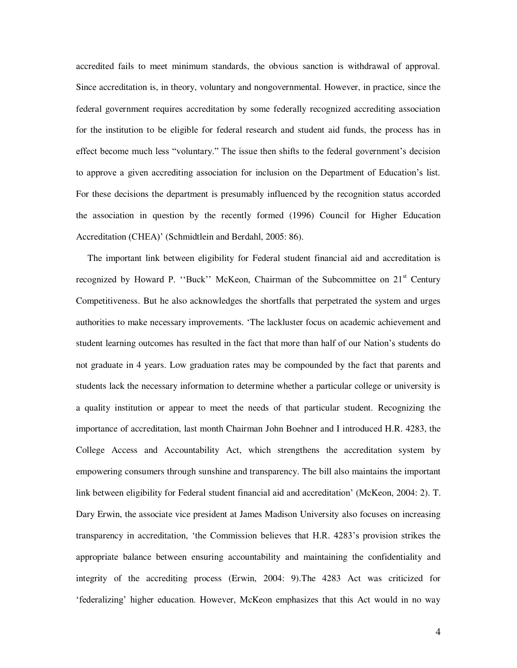accredited fails to meet minimum standards, the obvious sanction is withdrawal of approval. Since accreditation is, in theory, voluntary and nongovernmental. However, in practice, since the federal government requires accreditation by some federally recognized accrediting association for the institution to be eligible for federal research and student aid funds, the process has in effect become much less "voluntary." The issue then shifts to the federal government"s decision to approve a given accrediting association for inclusion on the Department of Education"s list. For these decisions the department is presumably influenced by the recognition status accorded the association in question by the recently formed (1996) Council for Higher Education Accreditation (CHEA)" (Schmidtlein and Berdahl, 2005: 86).

 The important link between eligibility for Federal student financial aid and accreditation is recognized by Howard P. "Buck" McKeon, Chairman of the Subcommittee on 21<sup>st</sup> Century Competitiveness. But he also acknowledges the shortfalls that perpetrated the system and urges authorities to make necessary improvements. "The lackluster focus on academic achievement and student learning outcomes has resulted in the fact that more than half of our Nation"s students do not graduate in 4 years. Low graduation rates may be compounded by the fact that parents and students lack the necessary information to determine whether a particular college or university is a quality institution or appear to meet the needs of that particular student. Recognizing the importance of accreditation, last month Chairman John Boehner and I introduced H.R. 4283, the College Access and Accountability Act, which strengthens the accreditation system by empowering consumers through sunshine and transparency. The bill also maintains the important link between eligibility for Federal student financial aid and accreditation" (McKeon, 2004: 2). T. Dary Erwin, the associate vice president at James Madison University also focuses on increasing transparency in accreditation, "the Commission believes that H.R. 4283"s provision strikes the appropriate balance between ensuring accountability and maintaining the confidentiality and integrity of the accrediting process (Erwin, 2004: 9).The 4283 Act was criticized for "federalizing" higher education. However, McKeon emphasizes that this Act would in no way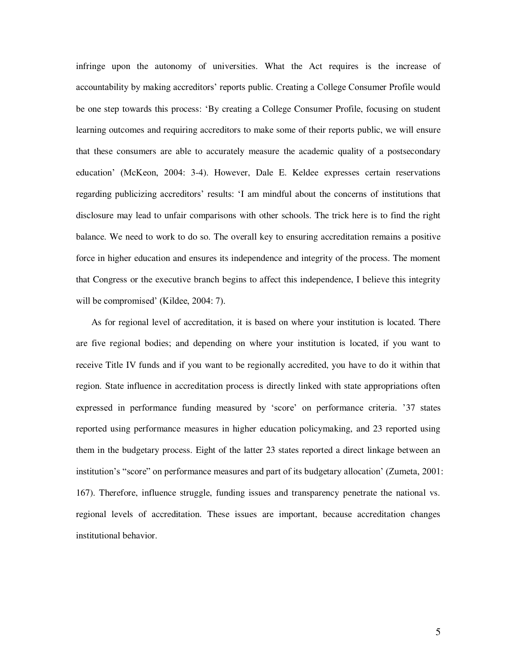infringe upon the autonomy of universities. What the Act requires is the increase of accountability by making accreditors' reports public. Creating a College Consumer Profile would be one step towards this process: "By creating a College Consumer Profile, focusing on student learning outcomes and requiring accreditors to make some of their reports public, we will ensure that these consumers are able to accurately measure the academic quality of a postsecondary education" (McKeon, 2004: 3-4). However, Dale E. Keldee expresses certain reservations regarding publicizing accreditors" results: "I am mindful about the concerns of institutions that disclosure may lead to unfair comparisons with other schools. The trick here is to find the right balance. We need to work to do so. The overall key to ensuring accreditation remains a positive force in higher education and ensures its independence and integrity of the process. The moment that Congress or the executive branch begins to affect this independence, I believe this integrity will be compromised' (Kildee, 2004: 7).

 As for regional level of accreditation, it is based on where your institution is located. There are five regional bodies; and depending on where your institution is located, if you want to receive Title IV funds and if you want to be regionally accredited, you have to do it within that region. State influence in accreditation process is directly linked with state appropriations often expressed in performance funding measured by "score" on performance criteria. "37 states reported using performance measures in higher education policymaking, and 23 reported using them in the budgetary process. Eight of the latter 23 states reported a direct linkage between an institution"s "score" on performance measures and part of its budgetary allocation" (Zumeta, 2001: 167). Therefore, influence struggle, funding issues and transparency penetrate the national vs. regional levels of accreditation. These issues are important, because accreditation changes institutional behavior.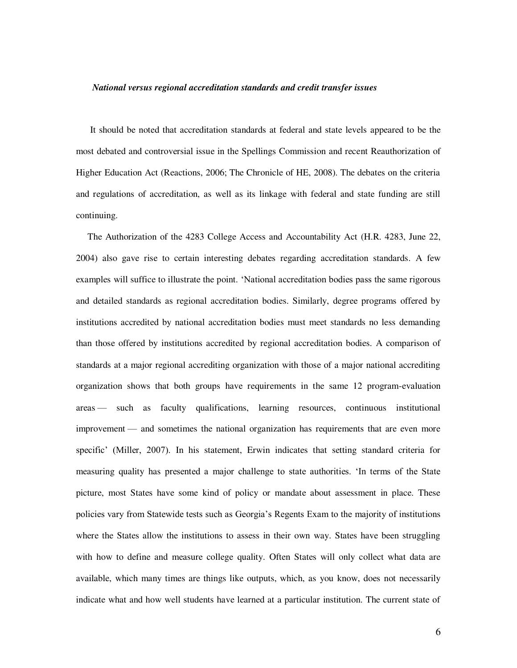#### *National versus regional accreditation standards and credit transfer issues*

 It should be noted that accreditation standards at federal and state levels appeared to be the most debated and controversial issue in the Spellings Commission and recent Reauthorization of Higher Education Act (Reactions, 2006; The Chronicle of HE, 2008). The debates on the criteria and regulations of accreditation, as well as its linkage with federal and state funding are still continuing.

 The Authorization of the 4283 College Access and Accountability Act (H.R. 4283, June 22, 2004) also gave rise to certain interesting debates regarding accreditation standards. A few examples will suffice to illustrate the point. "National accreditation bodies pass the same rigorous and detailed standards as regional accreditation bodies. Similarly, degree programs offered by institutions accredited by national accreditation bodies must meet standards no less demanding than those offered by institutions accredited by regional accreditation bodies. A comparison of standards at a major regional accrediting organization with those of a major national accrediting organization shows that both groups have requirements in the same 12 program-evaluation areas — such as faculty qualifications, learning resources, continuous institutional improvement — and sometimes the national organization has requirements that are even more specific' (Miller, 2007). In his statement, Erwin indicates that setting standard criteria for measuring quality has presented a major challenge to state authorities. "In terms of the State picture, most States have some kind of policy or mandate about assessment in place. These policies vary from Statewide tests such as Georgia"s Regents Exam to the majority of institutions where the States allow the institutions to assess in their own way. States have been struggling with how to define and measure college quality. Often States will only collect what data are available, which many times are things like outputs, which, as you know, does not necessarily indicate what and how well students have learned at a particular institution. The current state of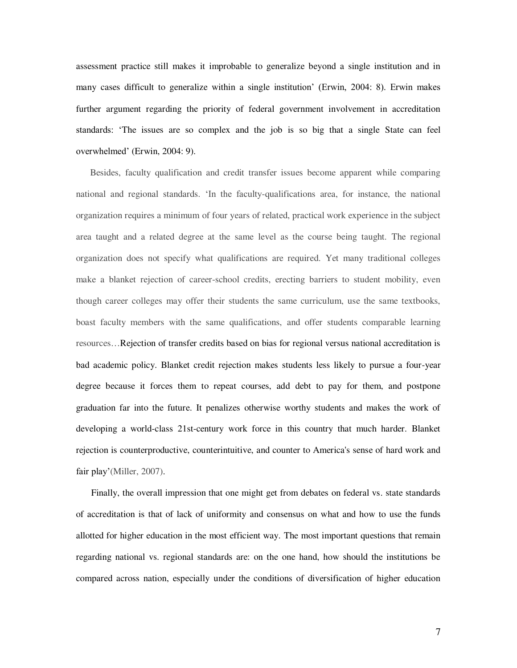assessment practice still makes it improbable to generalize beyond a single institution and in many cases difficult to generalize within a single institution" (Erwin, 2004: 8). Erwin makes further argument regarding the priority of federal government involvement in accreditation standards: "The issues are so complex and the job is so big that a single State can feel overwhelmed" (Erwin, 2004: 9).

 Besides, faculty qualification and credit transfer issues become apparent while comparing national and regional standards. "In the faculty-qualifications area, for instance, the national organization requires a minimum of four years of related, practical work experience in the subject area taught and a related degree at the same level as the course being taught. The regional organization does not specify what qualifications are required. Yet many traditional colleges make a blanket rejection of career-school credits, erecting barriers to student mobility, even though career colleges may offer their students the same curriculum, use the same textbooks, boast faculty members with the same qualifications, and offer students comparable learning resources…Rejection of transfer credits based on bias for regional versus national accreditation is bad academic policy. Blanket credit rejection makes students less likely to pursue a four-year degree because it forces them to repeat courses, add debt to pay for them, and postpone graduation far into the future. It penalizes otherwise worthy students and makes the work of developing a world-class 21st-century work force in this country that much harder. Blanket rejection is counterproductive, counterintuitive, and counter to America's sense of hard work and fair play'(Miller, 2007).

 Finally, the overall impression that one might get from debates on federal vs. state standards of accreditation is that of lack of uniformity and consensus on what and how to use the funds allotted for higher education in the most efficient way. The most important questions that remain regarding national vs. regional standards are: on the one hand, how should the institutions be compared across nation, especially under the conditions of diversification of higher education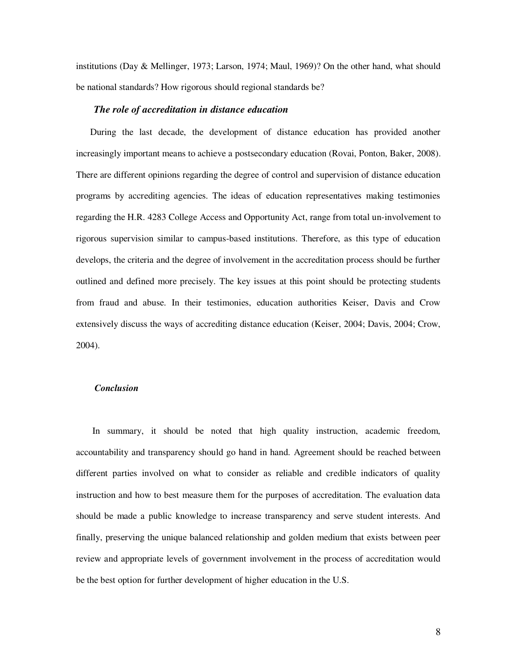institutions (Day & Mellinger, 1973; Larson, 1974; Maul, 1969)? On the other hand, what should be national standards? How rigorous should regional standards be?

# *The role of accreditation in distance education*

 During the last decade, the development of distance education has provided another increasingly important means to achieve a postsecondary education (Rovai, Ponton, Baker, 2008). There are different opinions regarding the degree of control and supervision of distance education programs by accrediting agencies. The ideas of education representatives making testimonies regarding the H.R. 4283 College Access and Opportunity Act, range from total un-involvement to rigorous supervision similar to campus-based institutions. Therefore, as this type of education develops, the criteria and the degree of involvement in the accreditation process should be further outlined and defined more precisely. The key issues at this point should be protecting students from fraud and abuse. In their testimonies, education authorities Keiser, Davis and Crow extensively discuss the ways of accrediting distance education (Keiser, 2004; Davis, 2004; Crow, 2004).

# *Conclusion*

 In summary, it should be noted that high quality instruction, academic freedom, accountability and transparency should go hand in hand. Agreement should be reached between different parties involved on what to consider as reliable and credible indicators of quality instruction and how to best measure them for the purposes of accreditation. The evaluation data should be made a public knowledge to increase transparency and serve student interests. And finally, preserving the unique balanced relationship and golden medium that exists between peer review and appropriate levels of government involvement in the process of accreditation would be the best option for further development of higher education in the U.S.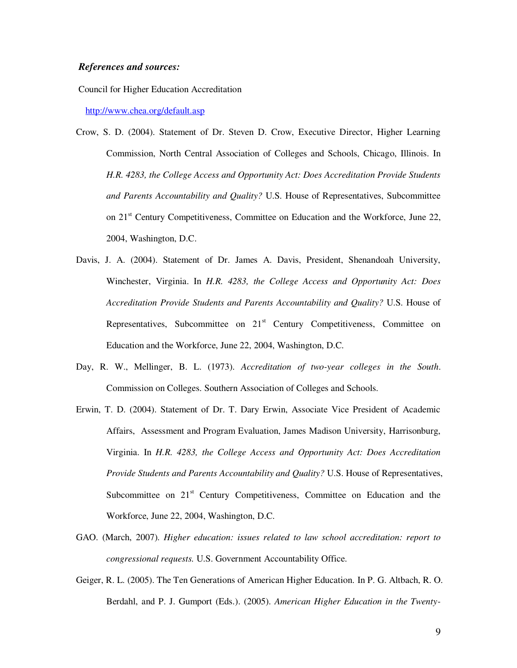# *References and sources:*

Council for Higher Education Accreditation

<http://www.chea.org/default.asp>

- Crow, S. D. (2004). Statement of Dr. Steven D. Crow, Executive Director, Higher Learning Commission, North Central Association of Colleges and Schools, Chicago, Illinois. In *H.R. 4283, the College Access and Opportunity Act: Does Accreditation Provide Students and Parents Accountability and Quality?* U.S. House of Representatives, Subcommittee on 21<sup>st</sup> Century Competitiveness, Committee on Education and the Workforce, June 22, 2004, Washington, D.C.
- Davis, J. A. (2004). Statement of Dr. James A. Davis, President, Shenandoah University, Winchester, Virginia. In *H.R. 4283, the College Access and Opportunity Act: Does Accreditation Provide Students and Parents Accountability and Quality?* U.S. House of Representatives, Subcommittee on 21<sup>st</sup> Century Competitiveness, Committee on Education and the Workforce, June 22, 2004, Washington, D.C.
- Day, R. W., Mellinger, B. L. (1973). *Accreditation of two-year colleges in the South*. Commission on Colleges. Southern Association of Colleges and Schools.
- Erwin, T. D. (2004). Statement of Dr. T. Dary Erwin, Associate Vice President of Academic Affairs, Assessment and Program Evaluation, James Madison University, Harrisonburg, Virginia. In *H.R. 4283, the College Access and Opportunity Act: Does Accreditation Provide Students and Parents Accountability and Quality?* U.S. House of Representatives, Subcommittee on 21<sup>st</sup> Century Competitiveness, Committee on Education and the Workforce, June 22, 2004, Washington, D.C.
- GAO. (March, 2007). *Higher education: issues related to law school accreditation: report to congressional requests.* U.S. Government Accountability Office.
- Geiger, R. L. (2005). The Ten Generations of American Higher Education. In P. G. Altbach, R. O. Berdahl, and P. J. Gumport (Eds.). (2005). *American Higher Education in the Twenty-*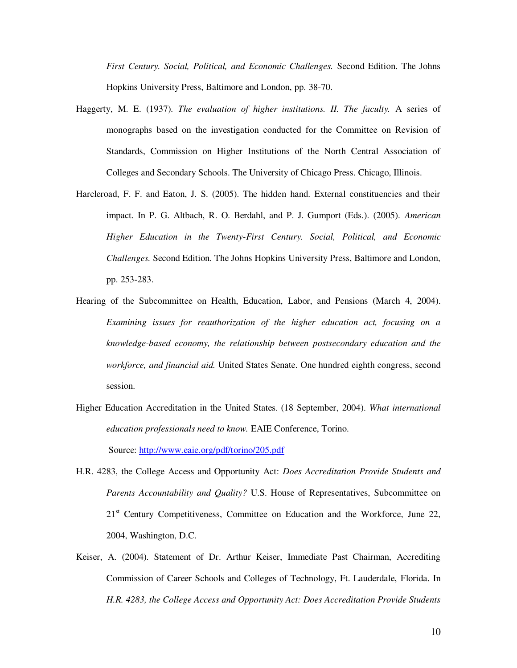*First Century. Social, Political, and Economic Challenges.* Second Edition. The Johns Hopkins University Press, Baltimore and London, pp. 38-70.

- Haggerty, M. E. (1937). *The evaluation of higher institutions. II. The faculty.* A series of monographs based on the investigation conducted for the Committee on Revision of Standards, Commission on Higher Institutions of the North Central Association of Colleges and Secondary Schools. The University of Chicago Press. Chicago, Illinois.
- Harcleroad, F. F. and Eaton, J. S. (2005). The hidden hand. External constituencies and their impact. In P. G. Altbach, R. O. Berdahl, and P. J. Gumport (Eds.). (2005). *American Higher Education in the Twenty-First Century. Social, Political, and Economic Challenges.* Second Edition. The Johns Hopkins University Press, Baltimore and London, pp. 253-283.
- Hearing of the Subcommittee on Health, Education, Labor, and Pensions (March 4, 2004). *Examining issues for reauthorization of the higher education act, focusing on a knowledge-based economy, the relationship between postsecondary education and the workforce, and financial aid.* United States Senate. One hundred eighth congress, second session.
- Higher Education Accreditation in the United States. (18 September, 2004). *What international education professionals need to know.* EAIE Conference, Torino. Source:<http://www.eaie.org/pdf/torino/205.pdf>
- H.R. 4283, the College Access and Opportunity Act: *Does Accreditation Provide Students and Parents Accountability and Quality?* U.S. House of Representatives, Subcommittee on 21<sup>st</sup> Century Competitiveness, Committee on Education and the Workforce, June 22, 2004, Washington, D.C.
- Keiser, A. (2004). Statement of Dr. Arthur Keiser, Immediate Past Chairman, Accrediting Commission of Career Schools and Colleges of Technology, Ft. Lauderdale, Florida. In *H.R. 4283, the College Access and Opportunity Act: Does Accreditation Provide Students*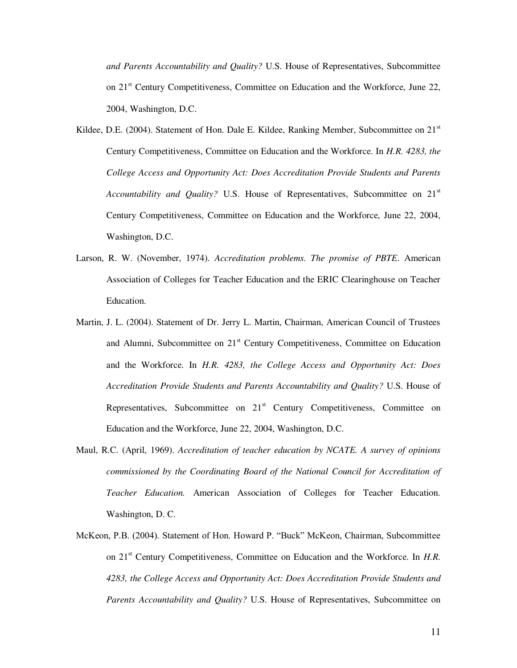*and Parents Accountability and Quality?* U.S. House of Representatives, Subcommittee on 21<sup>st</sup> Century Competitiveness, Committee on Education and the Workforce, June 22, 2004, Washington, D.C.

- Kildee, D.E. (2004). Statement of Hon. Dale E. Kildee, Ranking Member, Subcommittee on 21<sup>st</sup> Century Competitiveness, Committee on Education and the Workforce. In *H.R. 4283, the College Access and Opportunity Act: Does Accreditation Provide Students and Parents Accountability and Quality?* U.S. House of Representatives, Subcommittee on 21<sup>st</sup> Century Competitiveness, Committee on Education and the Workforce, June 22, 2004, Washington, D.C.
- Larson, R. W. (November, 1974). *Accreditation problems. The promise of PBTE*. American Association of Colleges for Teacher Education and the ERIC Clearinghouse on Teacher Education.
- Martin, J. L. (2004). Statement of Dr. Jerry L. Martin, Chairman, American Council of Trustees and Alumni, Subcommittee on 21<sup>st</sup> Century Competitiveness, Committee on Education and the Workforce. In *H.R. 4283, the College Access and Opportunity Act: Does Accreditation Provide Students and Parents Accountability and Quality?* U.S. House of Representatives, Subcommittee on 21<sup>st</sup> Century Competitiveness, Committee on Education and the Workforce, June 22, 2004, Washington, D.C.
- Maul, R.C. (April, 1969). *Accreditation of teacher education by NCATE. A survey of opinions commissioned by the Coordinating Board of the National Council for Accreditation of Teacher Education.* American Association of Colleges for Teacher Education. Washington, D. C.
- McKeon, P.B. (2004). Statement of Hon. Howard P. "Buck" McKeon, Chairman, Subcommittee on 21st Century Competitiveness, Committee on Education and the Workforce. In *H.R. 4283, the College Access and Opportunity Act: Does Accreditation Provide Students and Parents Accountability and Quality?* U.S. House of Representatives, Subcommittee on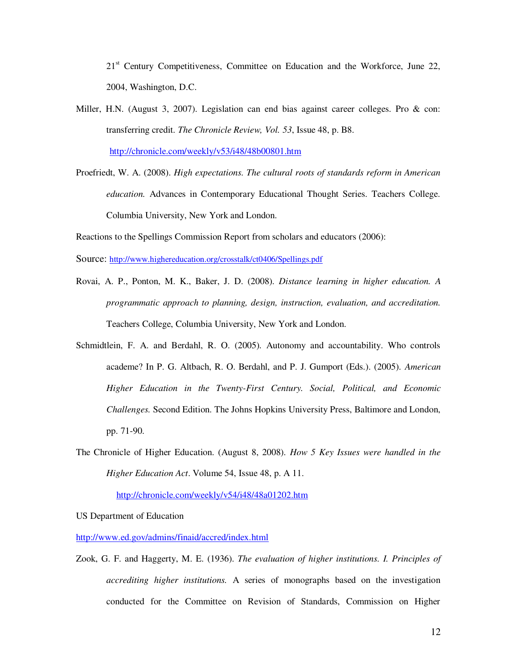21<sup>st</sup> Century Competitiveness, Committee on Education and the Workforce, June 22, 2004, Washington, D.C.

Miller, H.N. (August 3, 2007). Legislation can end bias against career colleges. Pro & con: transferring credit. *The Chronicle Review, Vol. 53*, Issue 48, p. B8.

<http://chronicle.com/weekly/v53/i48/48b00801.htm>

Proefriedt, W. A. (2008). *High expectations. The cultural roots of standards reform in American education.* Advances in Contemporary Educational Thought Series. Teachers College. Columbia University, New York and London.

Reactions to the Spellings Commission Report from scholars and educators (2006):

Source: <http://www.highereducation.org/crosstalk/ct0406/Spellings.pdf>

- Rovai, A. P., Ponton, M. K., Baker, J. D. (2008). *Distance learning in higher education. A programmatic approach to planning, design, instruction, evaluation, and accreditation.* Teachers College, Columbia University, New York and London.
- Schmidtlein, F. A. and Berdahl, R. O. (2005). Autonomy and accountability. Who controls academe? In P. G. Altbach, R. O. Berdahl, and P. J. Gumport (Eds.). (2005). *American Higher Education in the Twenty-First Century. Social, Political, and Economic Challenges.* Second Edition. The Johns Hopkins University Press, Baltimore and London, pp. 71-90.
- The Chronicle of Higher Education. (August 8, 2008). *How 5 Key Issues were handled in the Higher Education Act*. Volume 54, Issue 48, p. A 11.

<http://chronicle.com/weekly/v54/i48/48a01202.htm>

US Department of Education

<http://www.ed.gov/admins/finaid/accred/index.html>

Zook, G. F. and Haggerty, M. E. (1936). *The evaluation of higher institutions. I. Principles of accrediting higher institutions.* A series of monographs based on the investigation conducted for the Committee on Revision of Standards, Commission on Higher

12